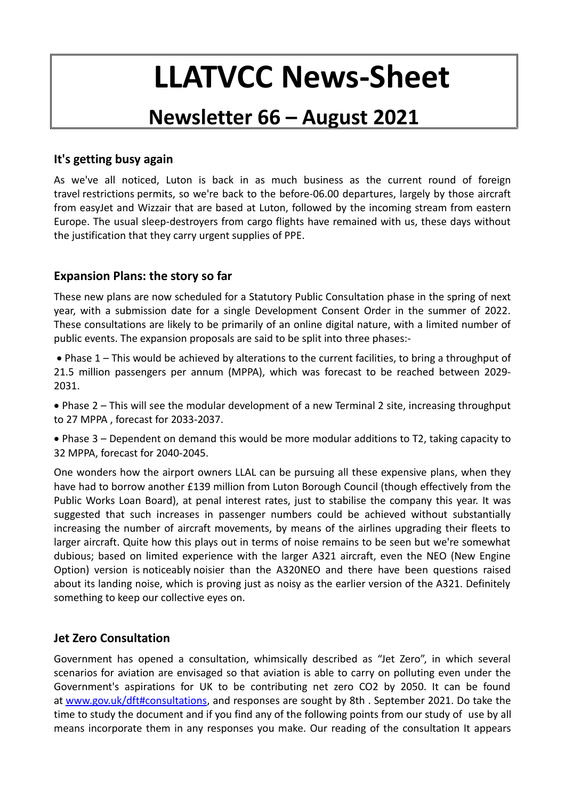# **LLATVCC News-Sheet**

# **Newsletter 66 – August 2021**

# **It's getting busy again**

As we've all noticed, Luton is back in as much business as the current round of foreign travel restrictions permits, so we're back to the before-06.00 departures, largely by those aircraft from easyJet and Wizzair that are based at Luton, followed by the incoming stream from eastern Europe. The usual sleep-destroyers from cargo flights have remained with us, these days without the justification that they carry urgent supplies of PPE.

# **Expansion Plans: the story so far**

These new plans are now scheduled for a Statutory Public Consultation phase in the spring of next year, with a submission date for a single Development Consent Order in the summer of 2022. These consultations are likely to be primarily of an online digital nature, with a limited number of public events. The expansion proposals are said to be split into three phases:-

 Phase 1 – This would be achieved by alterations to the current facilities, to bring a throughput of 21.5 million passengers per annum (MPPA), which was forecast to be reached between 2029- 2031.

 Phase 2 – This will see the modular development of a new Terminal 2 site, increasing throughput to 27 MPPA , forecast for 2033-2037.

 Phase 3 – Dependent on demand this would be more modular additions to T2, taking capacity to 32 MPPA, forecast for 2040-2045.

One wonders how the airport owners LLAL can be pursuing all these expensive plans, when they have had to borrow another £139 million from Luton Borough Council (though effectively from the Public Works Loan Board), at penal interest rates, just to stabilise the company this year. It was suggested that such increases in passenger numbers could be achieved without substantially increasing the number of aircraft movements, by means of the airlines upgrading their fleets to larger aircraft. Quite how this plays out in terms of noise remains to be seen but we're somewhat dubious; based on limited experience with the larger A321 aircraft, even the NEO (New Engine Option) version is noticeably noisier than the A320NEO and there have been questions raised about its landing noise, which is proving just as noisy as the earlier version of the A321. Definitely something to keep our collective eyes on.

## **Jet Zero Consultation**

Government has opened a consultation, whimsically described as "Jet Zero", in which several scenarios for aviation are envisaged so that aviation is able to carry on polluting even under the Government's aspirations for UK to be contributing net zero CO2 by 2050. It can be found at [www.gov.uk/dft#consultations,](http://www.gov.uk/dft#consultations) and responses are sought by 8th. September 2021. Do take the time to study the document and if you find any of the following points from our study of use by all means incorporate them in any responses you make. Our reading of the consultation It appears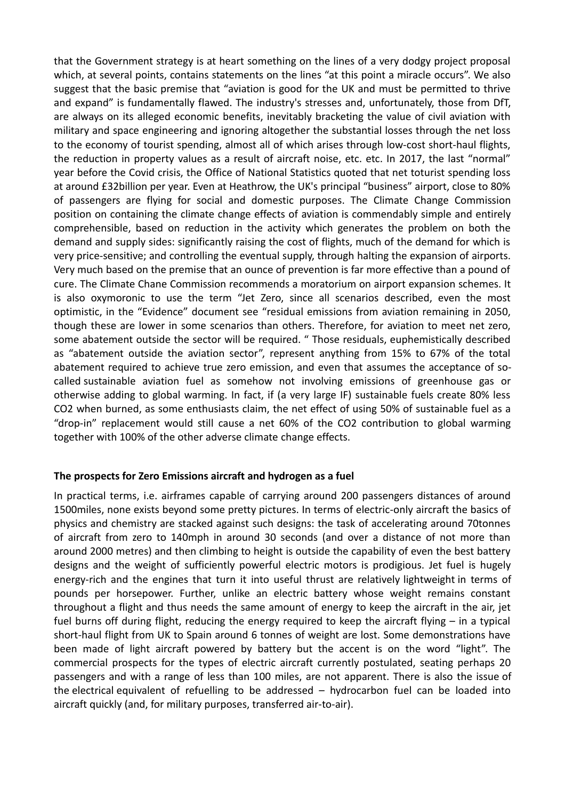that the Government strategy is at heart something on the lines of a very dodgy project proposal which, at several points, contains statements on the lines "at this point a miracle occurs". We also suggest that the basic premise that "aviation is good for the UK and must be permitted to thrive and expand" is fundamentally flawed. The industry's stresses and, unfortunately, those from DfT, are always on its alleged economic benefits, inevitably bracketing the value of civil aviation with military and space engineering and ignoring altogether the substantial losses through the net loss to the economy of tourist spending, almost all of which arises through low-cost short-haul flights, the reduction in property values as a result of aircraft noise, etc. etc. In 2017, the last "normal" year before the Covid crisis, the Office of National Statistics quoted that net toturist spending loss at around £32billion per year. Even at Heathrow, the UK's principal "business" airport, close to 80% of passengers are flying for social and domestic purposes. The Climate Change Commission position on containing the climate change effects of aviation is commendably simple and entirely comprehensible, based on reduction in the activity which generates the problem on both the demand and supply sides: significantly raising the cost of flights, much of the demand for which is very price-sensitive; and controlling the eventual supply, through halting the expansion of airports. Very much based on the premise that an ounce of prevention is far more effective than a pound of cure. The Climate Chane Commission recommends a moratorium on airport expansion schemes. It is also oxymoronic to use the term "Jet Zero, since all scenarios described, even the most optimistic, in the "Evidence" document see "residual emissions from aviation remaining in 2050, though these are lower in some scenarios than others. Therefore, for aviation to meet net zero, some abatement outside the sector will be required. " Those residuals, euphemistically described as "abatement outside the aviation sector", represent anything from 15% to 67% of the total abatement required to achieve true zero emission, and even that assumes the acceptance of socalled sustainable aviation fuel as somehow not involving emissions of greenhouse gas or otherwise adding to global warming. In fact, if (a very large IF) sustainable fuels create 80% less CO2 when burned, as some enthusiasts claim, the net effect of using 50% of sustainable fuel as a "drop-in" replacement would still cause a net 60% of the CO2 contribution to global warming together with 100% of the other adverse climate change effects.

#### **The prospects for Zero Emissions aircraft and hydrogen as a fuel**

In practical terms, i.e. airframes capable of carrying around 200 passengers distances of around 1500miles, none exists beyond some pretty pictures. In terms of electric-only aircraft the basics of physics and chemistry are stacked against such designs: the task of accelerating around 70tonnes of aircraft from zero to 140mph in around 30 seconds (and over a distance of not more than around 2000 metres) and then climbing to height is outside the capability of even the best battery designs and the weight of sufficiently powerful electric motors is prodigious. Jet fuel is hugely energy-rich and the engines that turn it into useful thrust are relatively lightweight in terms of pounds per horsepower. Further, unlike an electric battery whose weight remains constant throughout a flight and thus needs the same amount of energy to keep the aircraft in the air, jet fuel burns off during flight, reducing the energy required to keep the aircraft flying – in a typical short-haul flight from UK to Spain around 6 tonnes of weight are lost. Some demonstrations have been made of light aircraft powered by battery but the accent is on the word "light". The commercial prospects for the types of electric aircraft currently postulated, seating perhaps 20 passengers and with a range of less than 100 miles, are not apparent. There is also the issue of the electrical equivalent of refuelling to be addressed – hydrocarbon fuel can be loaded into aircraft quickly (and, for military purposes, transferred air-to-air).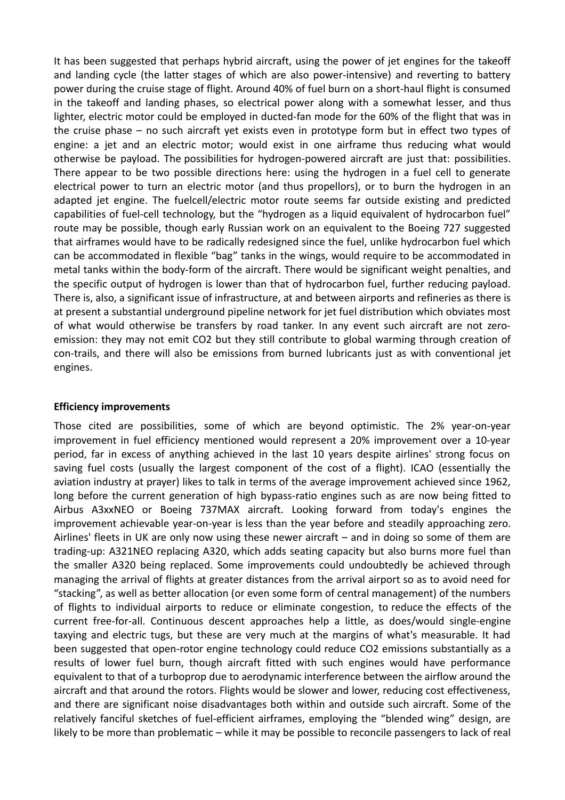It has been suggested that perhaps hybrid aircraft, using the power of jet engines for the takeoff and landing cycle (the latter stages of which are also power-intensive) and reverting to battery power during the cruise stage of flight. Around 40% of fuel burn on a short-haul flight is consumed in the takeoff and landing phases, so electrical power along with a somewhat lesser, and thus lighter, electric motor could be employed in ducted-fan mode for the 60% of the flight that was in the cruise phase – no such aircraft yet exists even in prototype form but in effect two types of engine: a jet and an electric motor; would exist in one airframe thus reducing what would otherwise be payload. The possibilities for hydrogen-powered aircraft are just that: possibilities. There appear to be two possible directions here: using the hydrogen in a fuel cell to generate electrical power to turn an electric motor (and thus propellors), or to burn the hydrogen in an adapted jet engine. The fuelcell/electric motor route seems far outside existing and predicted capabilities of fuel-cell technology, but the "hydrogen as a liquid equivalent of hydrocarbon fuel" route may be possible, though early Russian work on an equivalent to the Boeing 727 suggested that airframes would have to be radically redesigned since the fuel, unlike hydrocarbon fuel which can be accommodated in flexible "bag" tanks in the wings, would require to be accommodated in metal tanks within the body-form of the aircraft. There would be significant weight penalties, and the specific output of hydrogen is lower than that of hydrocarbon fuel, further reducing payload. There is, also, a significant issue of infrastructure, at and between airports and refineries as there is at present a substantial underground pipeline network for jet fuel distribution which obviates most of what would otherwise be transfers by road tanker. In any event such aircraft are not zeroemission: they may not emit CO2 but they still contribute to global warming through creation of con-trails, and there will also be emissions from burned lubricants just as with conventional jet engines.

#### **Efficiency improvements**

Those cited are possibilities, some of which are beyond optimistic. The 2% year-on-year improvement in fuel efficiency mentioned would represent a 20% improvement over a 10-year period, far in excess of anything achieved in the last 10 years despite airlines' strong focus on saving fuel costs (usually the largest component of the cost of a flight). ICAO (essentially the aviation industry at prayer) likes to talk in terms of the average improvement achieved since 1962, long before the current generation of high bypass-ratio engines such as are now being fitted to Airbus A3xxNEO or Boeing 737MAX aircraft. Looking forward from today's engines the improvement achievable year-on-year is less than the year before and steadily approaching zero. Airlines' fleets in UK are only now using these newer aircraft – and in doing so some of them are trading-up: A321NEO replacing A320, which adds seating capacity but also burns more fuel than the smaller A320 being replaced. Some improvements could undoubtedly be achieved through managing the arrival of flights at greater distances from the arrival airport so as to avoid need for "stacking", as well as better allocation (or even some form of central management) of the numbers of flights to individual airports to reduce or eliminate congestion, to reduce the effects of the current free-for-all. Continuous descent approaches help a little, as does/would single-engine taxying and electric tugs, but these are very much at the margins of what's measurable. It had been suggested that open-rotor engine technology could reduce CO2 emissions substantially as a results of lower fuel burn, though aircraft fitted with such engines would have performance equivalent to that of a turboprop due to aerodynamic interference between the airflow around the aircraft and that around the rotors. Flights would be slower and lower, reducing cost effectiveness, and there are significant noise disadvantages both within and outside such aircraft. Some of the relatively fanciful sketches of fuel-efficient airframes, employing the "blended wing" design, are likely to be more than problematic – while it may be possible to reconcile passengers to lack of real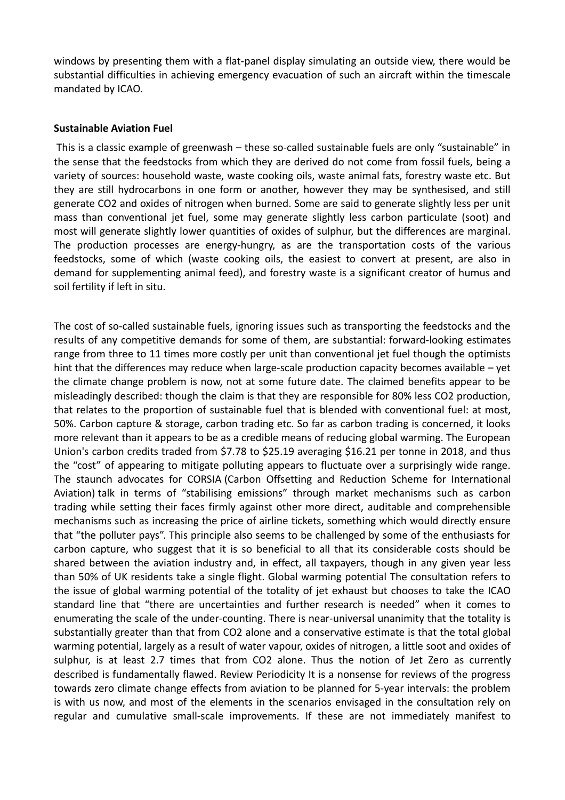windows by presenting them with a flat-panel display simulating an outside view, there would be substantial difficulties in achieving emergency evacuation of such an aircraft within the timescale mandated by ICAO.

#### **Sustainable Aviation Fuel**

This is a classic example of greenwash – these so-called sustainable fuels are only "sustainable" in the sense that the feedstocks from which they are derived do not come from fossil fuels, being a variety of sources: household waste, waste cooking oils, waste animal fats, forestry waste etc. But they are still hydrocarbons in one form or another, however they may be synthesised, and still generate CO2 and oxides of nitrogen when burned. Some are said to generate slightly less per unit mass than conventional jet fuel, some may generate slightly less carbon particulate (soot) and most will generate slightly lower quantities of oxides of sulphur, but the differences are marginal. The production processes are energy-hungry, as are the transportation costs of the various feedstocks, some of which (waste cooking oils, the easiest to convert at present, are also in demand for supplementing animal feed), and forestry waste is a significant creator of humus and soil fertility if left in situ.

The cost of so-called sustainable fuels, ignoring issues such as transporting the feedstocks and the results of any competitive demands for some of them, are substantial: forward-looking estimates range from three to 11 times more costly per unit than conventional jet fuel though the optimists hint that the differences may reduce when large-scale production capacity becomes available – yet the climate change problem is now, not at some future date. The claimed benefits appear to be misleadingly described: though the claim is that they are responsible for 80% less CO2 production, that relates to the proportion of sustainable fuel that is blended with conventional fuel: at most, 50%. Carbon capture & storage, carbon trading etc. So far as carbon trading is concerned, it looks more relevant than it appears to be as a credible means of reducing global warming. The European Union's carbon credits traded from \$7.78 to \$25.19 averaging \$16.21 per tonne in 2018, and thus the "cost" of appearing to mitigate polluting appears to fluctuate over a surprisingly wide range. The staunch advocates for CORSIA (Carbon Offsetting and Reduction Scheme for International Aviation) talk in terms of "stabilising emissions" through market mechanisms such as carbon trading while setting their faces firmly against other more direct, auditable and comprehensible mechanisms such as increasing the price of airline tickets, something which would directly ensure that "the polluter pays". This principle also seems to be challenged by some of the enthusiasts for carbon capture, who suggest that it is so beneficial to all that its considerable costs should be shared between the aviation industry and, in effect, all taxpayers, though in any given year less than 50% of UK residents take a single flight. Global warming potential The consultation refers to the issue of global warming potential of the totality of jet exhaust but chooses to take the ICAO standard line that "there are uncertainties and further research is needed" when it comes to enumerating the scale of the under-counting. There is near-universal unanimity that the totality is substantially greater than that from CO2 alone and a conservative estimate is that the total global warming potential, largely as a result of water vapour, oxides of nitrogen, a little soot and oxides of sulphur, is at least 2.7 times that from CO2 alone. Thus the notion of Jet Zero as currently described is fundamentally flawed. Review Periodicity It is a nonsense for reviews of the progress towards zero climate change effects from aviation to be planned for 5-year intervals: the problem is with us now, and most of the elements in the scenarios envisaged in the consultation rely on regular and cumulative small-scale improvements. If these are not immediately manifest to